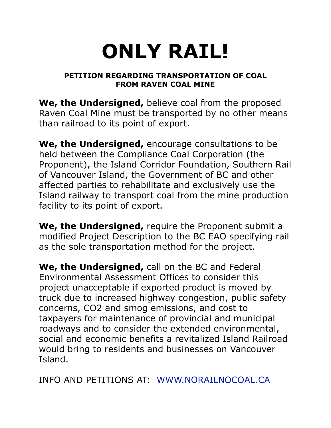## **ONLY RAIL!**

## **PETITION REGARDING TRANSPORTATION OF COAL FROM RAVEN COAL MINE**

**We, the Undersigned,** believe coal from the proposed Raven Coal Mine must be transported by no other means than railroad to its point of export.

**We, the Undersigned,** encourage consultations to be held between the Compliance Coal Corporation (the Proponent), the Island Corridor Foundation, Southern Rail of Vancouver Island, the Government of BC and other affected parties to rehabilitate and exclusively use the Island railway to transport coal from the mine production facility to its point of export.

**We, the Undersigned,** require the Proponent submit a modified Project Description to the BC EAO specifying rail as the sole transportation method for the project.

**We, the Undersigned,** call on the BC and Federal Environmental Assessment Offices to consider this project unacceptable if exported product is moved by truck due to increased highway congestion, public safety concerns, CO2 and smog emissions, and cost to taxpayers for maintenance of provincial and municipal roadways and to consider the extended environmental, social and economic benefits a revitalized Island Railroad would bring to residents and businesses on Vancouver Island.

INFO AND PETITIONS AT: [WWW.NORAILNOCOAL.CA](http://WWW.NORAILNOCOAL.CA)